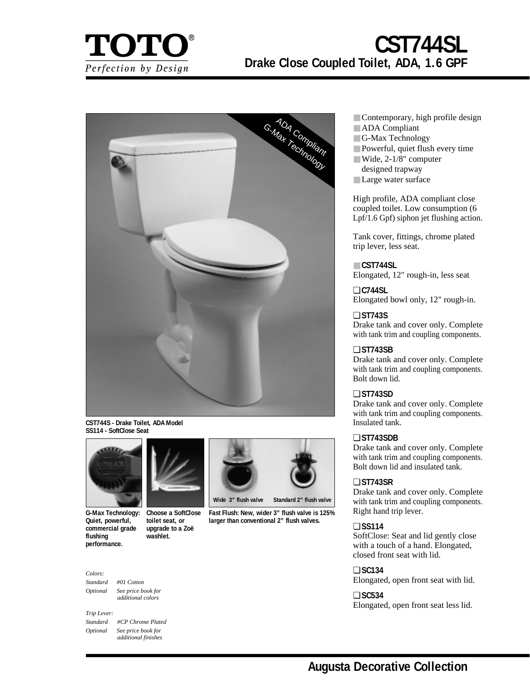

# **CST744SL Drake Close Coupled Toilet, ADA, 1.6 GPF**



**CST744S - Drake Toilet, ADA Model SS114 - SoftClose Seat**



**G-Max Technology: Quiet, powerful, commercial grade flushing performance.**

#### **Choose a SoftClose toilet seat, or upgrade to a Zoë washlet.**

#### *Colors:*

*Standard #01 Cotton Optional See price book for additional colors*

*Trip Lever: Standard #CP Chrome Plated Optional See price book for additional finishes*



**Wide 3" flush valve Standard 2" flush valve**

**Fast Flush: New, wider 3" flush valve is 125% larger than conventional 2" flush valves.**

- Contemporary, high profile design
- ADA Compliant
- G-Max Technology
- Powerful, quiet flush every time
- Wide, 2-1/8" computer
- designed trapway
- Large water surface

High profile, ADA compliant close coupled toilet. Low consumption (6 Lpf/1.6 Gpf) siphon jet flushing action.

Tank cover, fittings, chrome plated trip lever, less seat.

### ■ **CST744SL**

Elongated, 12" rough-in, less seat

❏ **C744SL** Elongated bowl only, 12" rough-in.

# ❏ **ST743S**

Drake tank and cover only. Complete with tank trim and coupling components.

# ❏ **ST743SB**

Drake tank and cover only. Complete with tank trim and coupling components. Bolt down lid.

# ❏ **ST743SD**

Drake tank and cover only. Complete with tank trim and coupling components. Insulated tank.

#### ❏ **ST743SDB**

Drake tank and cover only. Complete with tank trim and coupling components. Bolt down lid and insulated tank.

# ❏ **ST743SR**

Drake tank and cover only. Complete with tank trim and coupling components. Right hand trip lever.

#### ❏ **SS114**

SoftClose: Seat and lid gently close with a touch of a hand. Elongated, closed front seat with lid.

### ❏ **SC134**

Elongated, open front seat with lid.

#### ❏ **SC534**

Elongated, open front seat less lid.